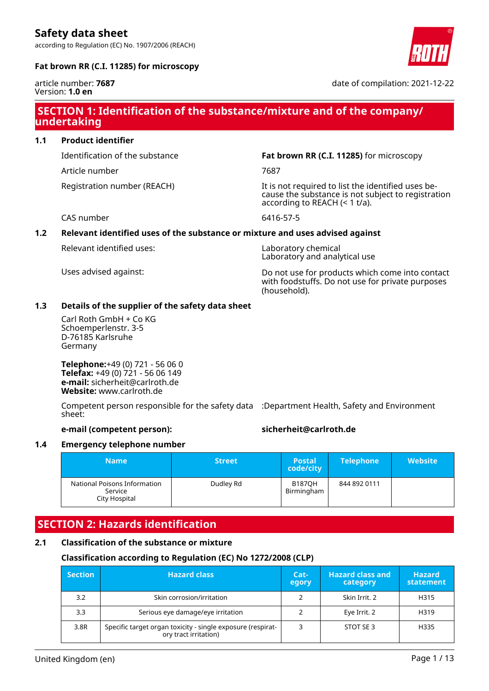according to Regulation (EC) No. 1907/2006 (REACH)



# **Fat brown RR (C.I. 11285) for microscopy**

article number: **7687** Version: **1.0 en**

date of compilation: 2021-12-22

# **SECTION 1: Identification of the substance/mixture and of the company/ undertaking**

# **1.1 Product identifier**

Article number 7687

Identification of the substance **Fat brown RR (C.I. 11285)** for microscopy

Registration number (REACH) The state of the identified uses because the substance is not subject to registration according to REACH (< 1 t/a).

CAS number 6416-57-5

# **1.2 Relevant identified uses of the substance or mixture and uses advised against**

Relevant identified uses: Laboratory chemical

Laboratory and analytical use

Uses advised against: Do not use for products which come into contact with foodstuffs. Do not use for private purposes (household).

# **1.3 Details of the supplier of the safety data sheet**

Carl Roth GmbH + Co KG Schoemperlenstr. 3-5 D-76185 Karlsruhe Germany

**Telephone:**+49 (0) 721 - 56 06 0 **Telefax:** +49 (0) 721 - 56 06 149 **e-mail:** sicherheit@carlroth.de **Website:** www.carlroth.de

Competent person responsible for the safety data :Department Health, Safety and Environment sheet:

# **e-mail (competent person): sicherheit@carlroth.de**

# **1.4 Emergency telephone number**

| <b>Name</b>                                              | <b>Street</b> | <b>Postal</b><br>code/city  | <b>Telephone</b> | <b>Website</b> |
|----------------------------------------------------------|---------------|-----------------------------|------------------|----------------|
| National Poisons Information<br>Service<br>City Hospital | Dudley Rd     | <b>B187OH</b><br>Birmingham | 844 892 0111     |                |

# **SECTION 2: Hazards identification**

# **2.1 Classification of the substance or mixture**

# **Classification according to Regulation (EC) No 1272/2008 (CLP)**

| <b>Section</b> | <b>Hazard class</b>                                                                  | Cat-<br>egory | <b>Hazard class and</b><br>category | <b>Hazard</b><br>statement |
|----------------|--------------------------------------------------------------------------------------|---------------|-------------------------------------|----------------------------|
| 3.2            | Skin corrosion/irritation                                                            |               | Skin Irrit. 2                       | H315                       |
| 3.3            | Serious eye damage/eye irritation                                                    |               | Eye Irrit. 2                        | H319                       |
| 3.8R           | Specific target organ toxicity - single exposure (respirat-<br>ory tract irritation) |               | STOT SE 3                           | H335                       |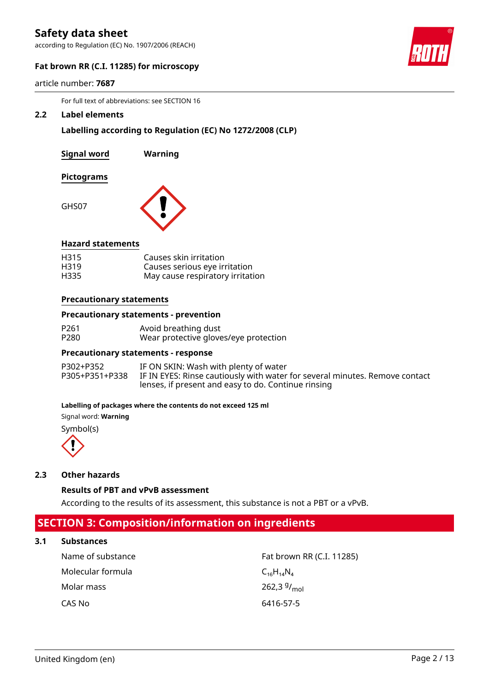according to Regulation (EC) No. 1907/2006 (REACH)



# **Fat brown RR (C.I. 11285) for microscopy**

article number: **7687**

For full text of abbreviations: see SECTION 16

#### **2.2 Label elements**

**Labelling according to Regulation (EC) No 1272/2008 (CLP)**

**Signal word Warning**

#### **Pictograms**

GHS07



# **Hazard statements**

| H315 | Causes skin irritation           |
|------|----------------------------------|
| H319 | Causes serious eye irritation    |
| H335 | May cause respiratory irritation |

#### **Precautionary statements**

#### **Precautionary statements - prevention**

| P <sub>261</sub> | Avoid breathing dust                  |
|------------------|---------------------------------------|
| P280             | Wear protective gloves/eye protection |

#### **Precautionary statements - response**

| P302+P352 | IF ON SKIN: Wash with plenty of water                                                      |
|-----------|--------------------------------------------------------------------------------------------|
|           | P305+P351+P338 IF IN EYES: Rinse cautiously with water for several minutes. Remove contact |
|           | lenses, if present and easy to do. Continue rinsing                                        |

#### **Labelling of packages where the contents do not exceed 125 ml**

Signal word: **Warning**

Symbol(s)



# **2.3 Other hazards**

# **Results of PBT and vPvB assessment**

According to the results of its assessment, this substance is not a PBT or a vPvB.

# **SECTION 3: Composition/information on ingredients**

# **3.1 Substances**

| Name of substance | Fat brown RR (C.I. 11285) |
|-------------------|---------------------------|
| Molecular formula | $C_{16}H_{14}N_{4}$       |
| Molar mass        | 262,3 $9/$ <sub>mol</sub> |
| CAS No            | 6416-57-5                 |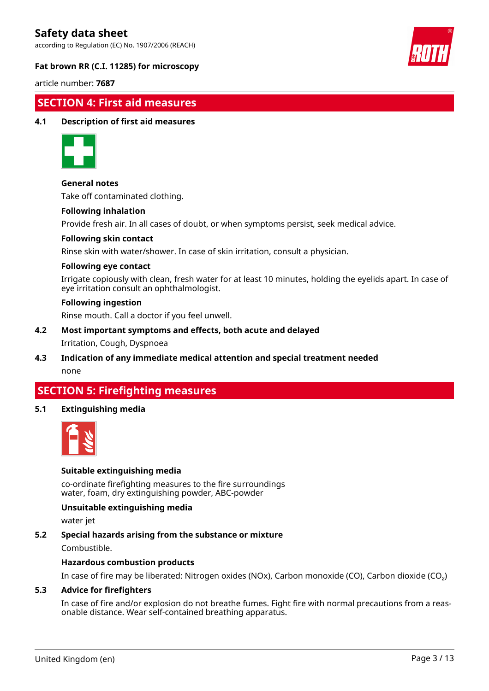according to Regulation (EC) No. 1907/2006 (REACH)



# **Fat brown RR (C.I. 11285) for microscopy**

article number: **7687**

# **SECTION 4: First aid measures**

# **4.1 Description of first aid measures**



# **General notes**

Take off contaminated clothing.

#### **Following inhalation**

Provide fresh air. In all cases of doubt, or when symptoms persist, seek medical advice.

#### **Following skin contact**

Rinse skin with water/shower. In case of skin irritation, consult a physician.

#### **Following eye contact**

Irrigate copiously with clean, fresh water for at least 10 minutes, holding the eyelids apart. In case of eye irritation consult an ophthalmologist.

#### **Following ingestion**

Rinse mouth. Call a doctor if you feel unwell.

# **4.2 Most important symptoms and effects, both acute and delayed**

# Irritation, Cough, Dyspnoea

**4.3 Indication of any immediate medical attention and special treatment needed** none

# **SECTION 5: Firefighting measures**

# **5.1 Extinguishing media**



# **Suitable extinguishing media**

co-ordinate firefighting measures to the fire surroundings water, foam, dry extinguishing powder, ABC-powder

# **Unsuitable extinguishing media**

water jet

# **5.2 Special hazards arising from the substance or mixture**

Combustible.

# **Hazardous combustion products**

In case of fire may be liberated: Nitrogen oxides (NOx), Carbon monoxide (CO), Carbon dioxide (CO₂)

# **5.3 Advice for firefighters**

In case of fire and/or explosion do not breathe fumes. Fight fire with normal precautions from a reasonable distance. Wear self-contained breathing apparatus.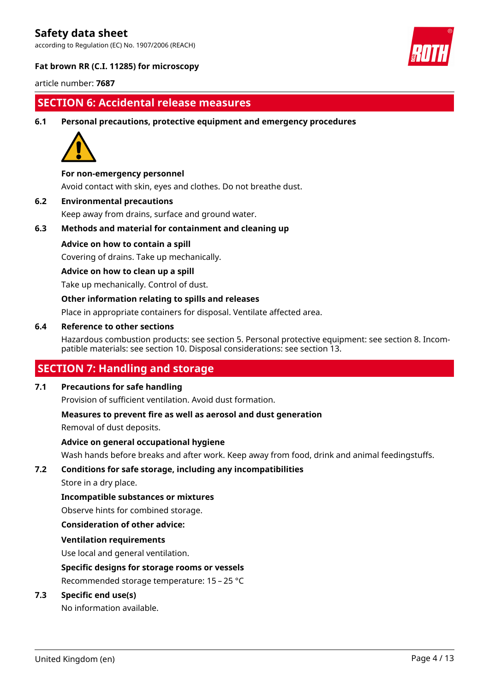according to Regulation (EC) No. 1907/2006 (REACH)



# **Fat brown RR (C.I. 11285) for microscopy**

article number: **7687**

# **SECTION 6: Accidental release measures**

**6.1 Personal precautions, protective equipment and emergency procedures**



# **For non-emergency personnel**

Avoid contact with skin, eyes and clothes. Do not breathe dust.

**6.2 Environmental precautions**

Keep away from drains, surface and ground water.

# **6.3 Methods and material for containment and cleaning up**

# **Advice on how to contain a spill**

Covering of drains. Take up mechanically.

# **Advice on how to clean up a spill**

Take up mechanically. Control of dust.

# **Other information relating to spills and releases**

Place in appropriate containers for disposal. Ventilate affected area.

# **6.4 Reference to other sections**

Hazardous combustion products: see section 5. Personal protective equipment: see section 8. Incompatible materials: see section 10. Disposal considerations: see section 13.

# **SECTION 7: Handling and storage**

# **7.1 Precautions for safe handling**

Provision of sufficient ventilation. Avoid dust formation.

# **Measures to prevent fire as well as aerosol and dust generation**

Removal of dust deposits.

# **Advice on general occupational hygiene**

Wash hands before breaks and after work. Keep away from food, drink and animal feedingstuffs.

# **7.2 Conditions for safe storage, including any incompatibilities**

Store in a dry place.

# **Incompatible substances or mixtures**

Observe hints for combined storage.

# **Consideration of other advice:**

# **Ventilation requirements**

Use local and general ventilation.

# **Specific designs for storage rooms or vessels**

Recommended storage temperature: 15 – 25 °C

# **7.3 Specific end use(s)**

No information available.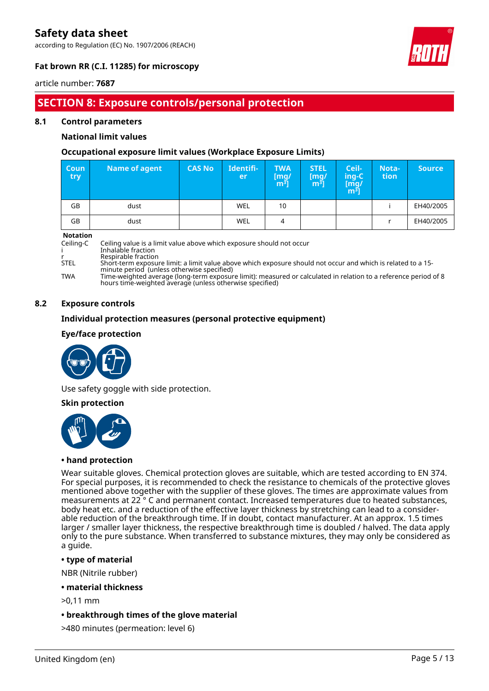according to Regulation (EC) No. 1907/2006 (REACH)



# **Fat brown RR (C.I. 11285) for microscopy**

# article number: **7687**

# **SECTION 8: Exposure controls/personal protection**

### **8.1 Control parameters**

# **National limit values**

# **Occupational exposure limit values (Workplace Exposure Limits)**

| <b>Coun</b><br><b>try</b> | <b>Name of agent</b> | <b>CAS No</b> | Identifi-<br>er | <b>TWA</b><br>[mg/<br>$m^{\overline{3}}]$ | <b>STEL</b><br>[mq/<br>m <sup>3</sup> | Ceil-<br>ing-C<br>[mg/<br>$\overline{m^3}$ ] | Nota-<br>tion | <b>Source</b> |
|---------------------------|----------------------|---------------|-----------------|-------------------------------------------|---------------------------------------|----------------------------------------------|---------------|---------------|
| GB                        | dust                 |               | WEL             | 10                                        |                                       |                                              |               | EH40/2005     |
| GB                        | dust                 |               | WEL             | 4                                         |                                       |                                              |               | EH40/2005     |

#### **Notation**

Ceiling-C Ceiling value is a limit value above which exposure should not occur i Inhalable fraction r Respirable fraction<br>STEL Short-term exposu

STEL Short-term exposure limit: a limit value above which exposure should not occur and which is related to a 15-

minute period (unless otherwise specified) TWA Time-weighted average (long-term exposure limit): measured or calculated in relation to a reference period of 8 hours time-weighted average (unless otherwise specified)

### **8.2 Exposure controls**

# **Individual protection measures (personal protective equipment)**

# **Eye/face protection**



Use safety goggle with side protection.

#### **Skin protection**



# **• hand protection**

Wear suitable gloves. Chemical protection gloves are suitable, which are tested according to EN 374. For special purposes, it is recommended to check the resistance to chemicals of the protective gloves mentioned above together with the supplier of these gloves. The times are approximate values from measurements at 22 ° C and permanent contact. Increased temperatures due to heated substances, body heat etc. and a reduction of the effective layer thickness by stretching can lead to a considerable reduction of the breakthrough time. If in doubt, contact manufacturer. At an approx. 1.5 times larger / smaller layer thickness, the respective breakthrough time is doubled / halved. The data apply only to the pure substance. When transferred to substance mixtures, they may only be considered as a guide.

# **• type of material**

NBR (Nitrile rubber)

**• material thickness**

>0,11 mm

# **• breakthrough times of the glove material**

>480 minutes (permeation: level 6)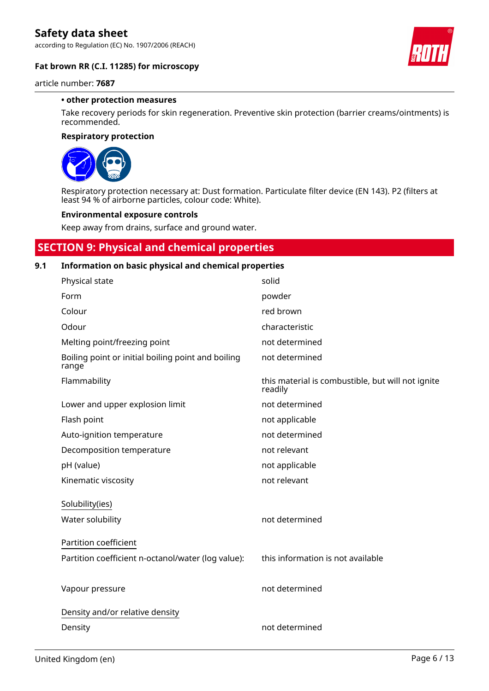according to Regulation (EC) No. 1907/2006 (REACH)



article number: **7687**

#### **• other protection measures**

Take recovery periods for skin regeneration. Preventive skin protection (barrier creams/ointments) is recommended.

#### **Respiratory protection**



Respiratory protection necessary at: Dust formation. Particulate filter device (EN 143). P2 (filters at least 94 % of airborne particles, colour code: White).

#### **Environmental exposure controls**

Keep away from drains, surface and ground water.

# **SECTION 9: Physical and chemical properties**

# **9.1 Information on basic physical and chemical properties**

| Physical state                                              | solid                                                        |
|-------------------------------------------------------------|--------------------------------------------------------------|
| Form                                                        | powder                                                       |
| Colour                                                      | red brown                                                    |
| Odour                                                       | characteristic                                               |
| Melting point/freezing point                                | not determined                                               |
| Boiling point or initial boiling point and boiling<br>range | not determined                                               |
| Flammability                                                | this material is combustible, but will not ignite<br>readily |
| Lower and upper explosion limit                             | not determined                                               |
| Flash point                                                 | not applicable                                               |
| Auto-ignition temperature                                   | not determined                                               |
| Decomposition temperature                                   | not relevant                                                 |
| pH (value)                                                  | not applicable                                               |
| Kinematic viscosity                                         | not relevant                                                 |
| Solubility(ies)                                             |                                                              |
| Water solubility                                            | not determined                                               |
| Partition coefficient                                       |                                                              |
| Partition coefficient n-octanol/water (log value):          | this information is not available                            |
|                                                             |                                                              |
| Vapour pressure                                             | not determined                                               |
| Density and/or relative density                             |                                                              |
| Density                                                     | not determined                                               |

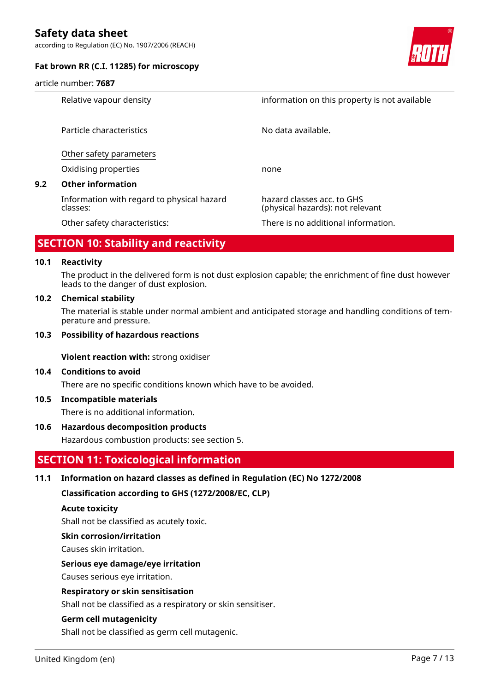according to Regulation (EC) No. 1907/2006 (REACH)



article number: **7687**



|     | Relative vapour density                                | information on this property is not available                  |
|-----|--------------------------------------------------------|----------------------------------------------------------------|
|     | Particle characteristics                               | No data available.                                             |
|     | Other safety parameters                                |                                                                |
|     | Oxidising properties                                   | none                                                           |
| 9.2 | <b>Other information</b>                               |                                                                |
|     | Information with regard to physical hazard<br>classes: | hazard classes acc. to GHS<br>(physical hazards): not relevant |
|     | Other safety characteristics:                          | There is no additional information.                            |

# **SECTION 10: Stability and reactivity**

#### **10.1 Reactivity**

The product in the delivered form is not dust explosion capable; the enrichment of fine dust however leads to the danger of dust explosion.

#### **10.2 Chemical stability**

The material is stable under normal ambient and anticipated storage and handling conditions of temperature and pressure.

### **10.3 Possibility of hazardous reactions**

**Violent reaction with:** strong oxidiser

#### **10.4 Conditions to avoid**

There are no specific conditions known which have to be avoided.

# **10.5 Incompatible materials**

There is no additional information.

# **10.6 Hazardous decomposition products**

Hazardous combustion products: see section 5.

# **SECTION 11: Toxicological information**

# **11.1 Information on hazard classes as defined in Regulation (EC) No 1272/2008**

**Classification according to GHS (1272/2008/EC, CLP)**

#### **Acute toxicity**

Shall not be classified as acutely toxic.

#### **Skin corrosion/irritation**

Causes skin irritation.

# **Serious eye damage/eye irritation**

Causes serious eye irritation.

# **Respiratory or skin sensitisation**

Shall not be classified as a respiratory or skin sensitiser.

# **Germ cell mutagenicity**

Shall not be classified as germ cell mutagenic.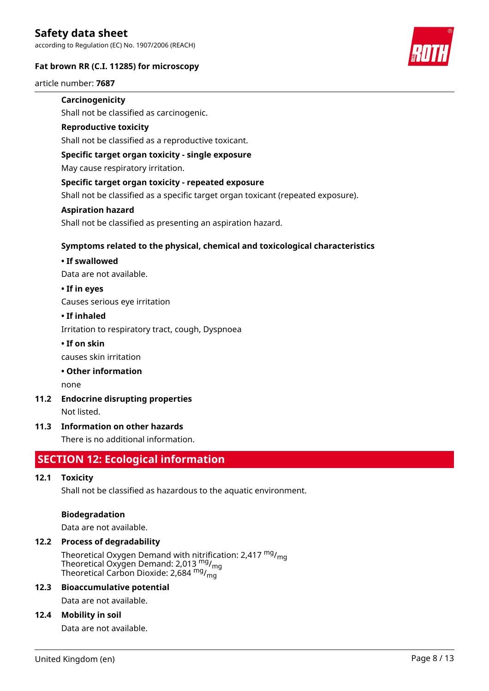according to Regulation (EC) No. 1907/2006 (REACH)

# **Fat brown RR (C.I. 11285) for microscopy**

article number: **7687**

# **Carcinogenicity**

Shall not be classified as carcinogenic.

#### **Reproductive toxicity**

Shall not be classified as a reproductive toxicant.

### **Specific target organ toxicity - single exposure**

May cause respiratory irritation.

#### **Specific target organ toxicity - repeated exposure**

Shall not be classified as a specific target organ toxicant (repeated exposure).

#### **Aspiration hazard**

Shall not be classified as presenting an aspiration hazard.

# **Symptoms related to the physical, chemical and toxicological characteristics**

#### **• If swallowed**

Data are not available.

#### **• If in eyes**

Causes serious eye irritation

#### **• If inhaled**

Irritation to respiratory tract, cough, Dyspnoea

# **• If on skin**

causes skin irritation

# **• Other information**

none

**11.2 Endocrine disrupting properties** Not listed.

# **11.3 Information on other hazards**

There is no additional information.

# **SECTION 12: Ecological information**

# **12.1 Toxicity**

Shall not be classified as hazardous to the aquatic environment.

#### **Biodegradation**

Data are not available.

# **12.2 Process of degradability**

Theoretical Oxygen Demand with nitrification: 2,417 <sup>mg</sup>/<sub>mg</sub> Theoretical Oxygen Demand: 2,013  $^{\text{mg}}$ /<sub>mg</sub> Theoretical Carbon Dioxide: 2,684  $^{\mathsf{mg}}\prime_{\mathsf{mg}}$ 

#### **12.3 Bioaccumulative potential**

Data are not available.

#### **12.4 Mobility in soil**

Data are not available.

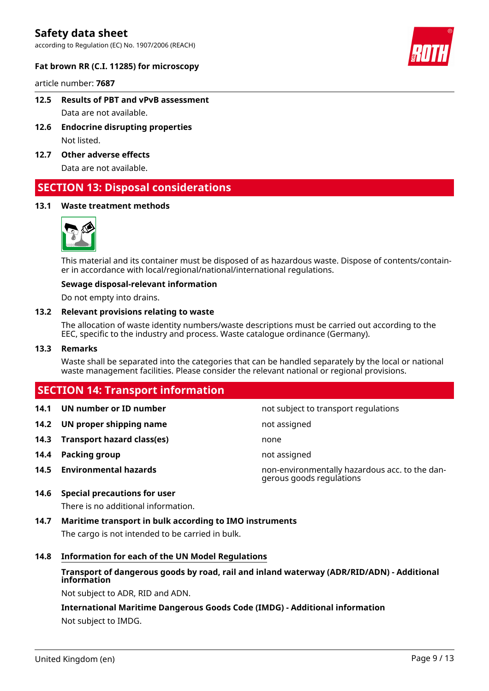according to Regulation (EC) No. 1907/2006 (REACH)



# **Fat brown RR (C.I. 11285) for microscopy**

article number: **7687**

- **12.5 Results of PBT and vPvB assessment** Data are not available.
- **12.6 Endocrine disrupting properties** Not listed.
- **12.7 Other adverse effects** Data are not available.

# **SECTION 13: Disposal considerations**

# **13.1 Waste treatment methods**



This material and its container must be disposed of as hazardous waste. Dispose of contents/container in accordance with local/regional/national/international regulations.

#### **Sewage disposal-relevant information**

Do not empty into drains.

#### **13.2 Relevant provisions relating to waste**

The allocation of waste identity numbers/waste descriptions must be carried out according to the EEC, specific to the industry and process. Waste catalogue ordinance (Germany).

#### **13.3 Remarks**

Waste shall be separated into the categories that can be handled separately by the local or national waste management facilities. Please consider the relevant national or regional provisions.

# **SECTION 14: Transport information**

- **14.1 UN number or ID number not subject to transport regulations**
- **14.2 UN proper shipping name** not assigned
- **14.3 Transport hazard class(es)** none
- **14.4 Packing group not assigned**
- 

- 
- **14.5 Environmental hazards** non-environmentally hazardous acc. to the dangerous goods regulations

# **14.6 Special precautions for user**

There is no additional information.

# **14.7 Maritime transport in bulk according to IMO instruments**

The cargo is not intended to be carried in bulk.

# **14.8 Information for each of the UN Model Regulations**

# **Transport of dangerous goods by road, rail and inland waterway (ADR/RID/ADN) - Additional information**

Not subject to ADR, RID and ADN.

**International Maritime Dangerous Goods Code (IMDG) - Additional information** Not subject to IMDG.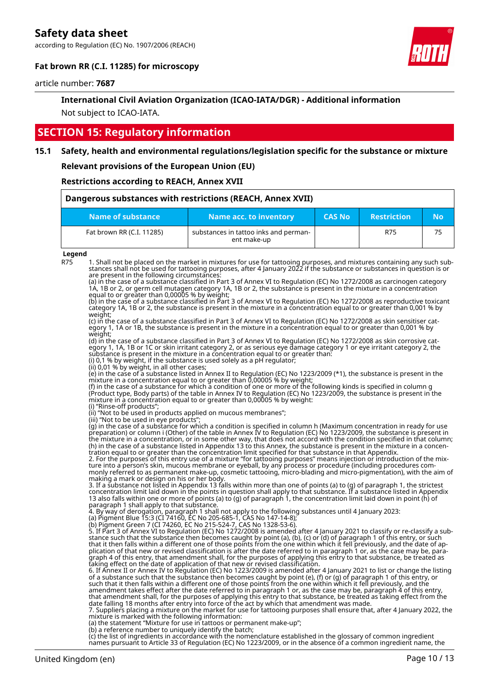according to Regulation (EC) No. 1907/2006 (REACH)



# **Fat brown RR (C.I. 11285) for microscopy**

article number: **7687**

# **International Civil Aviation Organization (ICAO-IATA/DGR) - Additional information**

Not subject to ICAO-IATA.

# **SECTION 15: Regulatory information**

# **15.1 Safety, health and environmental regulations/legislation specific for the substance or mixture**

**Relevant provisions of the European Union (EU)**

**Restrictions according to REACH, Annex XVII**

| Dangerous substances with restrictions (REACH, Annex XVII) |                                                      |               |                    |    |  |  |
|------------------------------------------------------------|------------------------------------------------------|---------------|--------------------|----|--|--|
| Name of substance                                          | Name acc. to inventory                               | <b>CAS No</b> | <b>Restriction</b> | No |  |  |
| Fat brown RR (C.I. 11285)                                  | substances in tattoo inks and perman-<br>ent make-up |               | R75                | 75 |  |  |

**Legend**

R75 1. Shall not be placed on the market in mixtures for use for tattooing purposes, and mixtures containing any such substances shall not be used for tattooing purposes, after 4 January 2022 if the substance or substances in question is or are present in the following circumstances:

(a) in the case of a substance classified in Part 3 of Annex VI to Regulation (EC) No 1272/2008 as carcinogen category 1A, 1B or 2, or germ cell mutagen category 1A, 1B or 2, the substance is present in the mixture in a concentration equal to or greater than 0,00005 % by weight;

(b) in the case of a substance classified in Part 3 of Annex VI to Regulation (EC) No 1272/2008 as reproductive toxicant category 1A, 1B or 2, the substance is present in the mixture in a concentration equal to or greater than 0,001 % by weight;

(c) in the case of a substance classified in Part 3 of Annex VI to Regulation (EC) No 1272/2008 as skin sensitiser category 1, 1A or 1B, the substance is present in the mixture in a concentration equal to or greater than 0,001 % by weight;

(d) in the case of a substance classified in Part 3 of Annex VI to Regulation (EC) No 1272/2008 as skin corrosive category 1, 1A, 1B or 1C or skin irritant category 2, or as serious eye damage category 1 or eye irritant category 2, the substance is present in the mixture in a concentration equal to or greater than:

(i) 0,1 % by weight, if the substance is used solely as a pH regulator;

(ii) 0,01 % by weight, in all other cases;

(e) in the case of a substance listed in Annex II to Regulation (EC) No 1223/2009 (\*1), the substance is present in the mixture in a concentration equal to or greater than 0,00005 % by weight;

(f) in the case of a substance for which a condition of one or more of the following kinds is specified in column g (Product type, Body parts) of the table in Annex IV to Regulation (EC) No 1223/2009, the substance is present in the mixture in a concentration equal to or greater than 0,00005 % by weight:

(i) "Rinse-off products"; (ii) "Not to be used in products applied on mucous membranes";

(iii) "Not to be used in eye products";

(g) in the case of a substance for which a condition is specified in column h (Maximum concentration in ready for use preparation) or column i (Other) of the table in Annex IV to Regulation (EC) No 1223/2009, the substance is present in the mixture in a concentration, or in some other way, that does not accord with the condition specified in that column; (h) in the case of a substance listed in Appendix 13 to this Annex, the substance is present in the mixture in a concentration equal to or greater than the concentration limit specified for that substance in that Appendix.

2. For the purposes of this entry use of a mixture "for tattooing purposes" means injection or introduction of the mixture into a person's skin, mucous membrane or eyeball, by any process or procedure (including procedures commonly referred to as permanent make-up, cosmetic tattooing, micro-blading and micro-pigmentation), with the aim of making a mark or design on his or her body.

3. If a substance not listed in Appendix 13 falls within more than one of points (a) to (g) of paragraph 1, the strictest concentration limit laid down in the points in question shall apply to that substance. If a substance listed in Appendix 13 also falls within one or more of points (a) to (g) of paragraph 1, the concentration limit laid down in point (h) of paragraph 1 shall apply to that substance.

4. By way of derogation, paragraph 1 shall not apply to the following substances until 4 January 2023:

(a) Pigment Blue 15:3 (CI 74160, EC No 205-685-1, CAS No 147-14-8);

(b) Pigment Green 7 (CI 74260, EC No 215-524-7, CAS No 1328-53-6). 5. If Part 3 of Annex VI to Regulation (EC) No 1272/2008 is amended after 4 January 2021 to classify or re-classify a substance such that the substance then becomes caught by point (a), (b), (c) or (d) of paragraph 1 of this entry, or such that it then falls within a different one of those points from the one within which it fell previously, and the date of application of that new or revised classification is after the date referred to in paragraph 1 or, as the case may be, paragraph 4 of this entry, that amendment shall, for the purposes of applying this entry to that substance, be treated as taking effect on the date of application of that new or revised classification.

6. If Annex II or Annex IV to Regulation (EC) No 1223/2009 is amended after 4 January 2021 to list or change the listing of a substance such that the substance then becomes caught by point (e), (f) or (g) of paragraph 1 of this entry, or<br>such that it then falls within a different one of those points from the one within which it fell previous that amendment shall, for the purposes of applying this entry to that substance, be treated as taking effect from the date falling 18 months after entry into force of the act by which that amendment was made. 7. Suppliers placing a mixture on the market for use for tattooing purposes shall ensure that, after 4 January 2022, the

mixture is marked with the following information: (a) the statement "Mixture for use in tattoos or permanent make-up";

(b) a reference number to uniquely identify the batch;

(c) the list of ingredients in accordance with the nomenclature established in the glossary of common ingredient names pursuant to Article 33 of Regulation (EC) No 1223/2009, or in the absence of a common ingredient name, the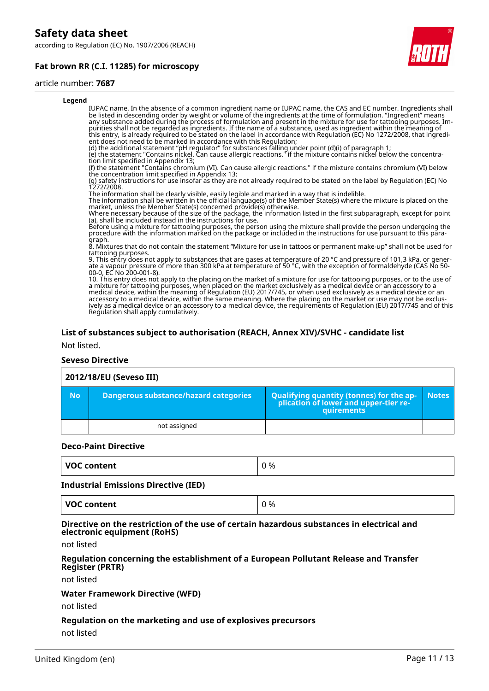according to Regulation (EC) No. 1907/2006 (REACH)

# **Fat brown RR (C.I. 11285) for microscopy**



#### article number: **7687**

| Legend                                                                                                                                                                                                                                                                                                                                                                                                                                                                                                                                                                                                                                                                                 |  |
|----------------------------------------------------------------------------------------------------------------------------------------------------------------------------------------------------------------------------------------------------------------------------------------------------------------------------------------------------------------------------------------------------------------------------------------------------------------------------------------------------------------------------------------------------------------------------------------------------------------------------------------------------------------------------------------|--|
| IUPAC name. In the absence of a common ingredient name or IUPAC name, the CAS and EC number. Ingredients shall<br>be listed in descending order by weight or volume of the ingredients at the time of formulation. "Ingredient" means<br>any substance added during the process of formulation and present in the mixture for use for tattooing purposes. Im-<br>purities shall not be regarded as ingredients. If the name of a substance, used as ingredient within the meaning of<br>this entry, is already required to be stated on the label in accordance with Regulation (EC) No 1272/2008, that ingredi-<br>ent does not need to be marked in accordance with this Regulation; |  |
| (d) the additional statement "pH regulator" for substances falling under point (d)(i) of paragraph 1;<br>(e) the statement "Contains nickel. Can cause allergic reactions." if the mixture contains nickel below the concentra-<br>tion limit specified in Appendix 13;                                                                                                                                                                                                                                                                                                                                                                                                                |  |
| (f) the statement "Contains chromium (VI). Can cause allergic reactions." if the mixture contains chromium (VI) below<br>the concentration limit specified in Appendix 13;                                                                                                                                                                                                                                                                                                                                                                                                                                                                                                             |  |
| (g) safety instructions for use insofar as they are not already required to be stated on the label by Regulation (EC) No<br>1272/2008.                                                                                                                                                                                                                                                                                                                                                                                                                                                                                                                                                 |  |
| The information shall be clearly visible, easily legible and marked in a way that is indelible.<br>The information shall be written in the official language(s) of the Member State(s) where the mixture is placed on the<br>market, unless the Member State(s) concerned provide(s) otherwise.                                                                                                                                                                                                                                                                                                                                                                                        |  |
| Where necessary because of the size of the package, the information listed in the first subparagraph, except for point<br>(a), shall be included instead in the instructions for use.                                                                                                                                                                                                                                                                                                                                                                                                                                                                                                  |  |
| Before using a mixture for tattooing purposes, the person using the mixture shall provide the person undergoing the<br>procedure with the information marked on the package or included in the instructions for use pursuant to t<br>graph.                                                                                                                                                                                                                                                                                                                                                                                                                                            |  |
| 8. Mixtures that do not contain the statement "Mixture for use in tattoos or permanent make-up" shall not be used for<br>tattooing purposes.                                                                                                                                                                                                                                                                                                                                                                                                                                                                                                                                           |  |
| 9. This entry does not apply to substances that are gases at temperature of 20 $^{\circ}$ C and pressure of 101,3 kPa, or gener-<br>ate a vapour pressure of more than 300 kPa at temperature of 50 °C, with the exception of formaldehyde (CAS No 50-<br>00-0. EC No 200-001-8).                                                                                                                                                                                                                                                                                                                                                                                                      |  |
| 10. This entry does not apply to the placing on the market of a mixture for use for tattooing purposes, or to the use of<br>a mixture for tattooing purposes, when placed on the market exclusively as a medical device or an accessory to a<br>medical device, within the meaning of Regulation (EU) 2017/745, or when used exclusively as a medical device or an<br>accessory to a medical device, within the same meaning. Where the placing on the market or use may not be exclus-<br>ively as a medical device or an accessory to a medical device, the requirements of Regulation (EU) 2017/745 and of this<br>Regulation shall apply cumulatively.                             |  |
|                                                                                                                                                                                                                                                                                                                                                                                                                                                                                                                                                                                                                                                                                        |  |
| List of substances subject to authorisation (REACH, Annex XIV)/SVHC - candidate list                                                                                                                                                                                                                                                                                                                                                                                                                                                                                                                                                                                                   |  |
| Not listed.                                                                                                                                                                                                                                                                                                                                                                                                                                                                                                                                                                                                                                                                            |  |

#### **Seveso Directive**

# **2012/18/EU (Seveso III)**

| <b>No</b> | Dangerous substance/hazard categories | <b>Qualifying quantity (tonnes) for the ap-</b><br>plication of lower and upper-tier re-<br><b>auirements</b> | <b>Notes</b> |
|-----------|---------------------------------------|---------------------------------------------------------------------------------------------------------------|--------------|
|           | not assigned                          |                                                                                                               |              |

#### **Deco-Paint Directive**

| <b>VOC content</b><br>0 % |
|---------------------------|
|---------------------------|

#### **Industrial Emissions Directive (IED)**

| VOC content | ገ % |
|-------------|-----|
|             |     |

#### **Directive on the restriction of the use of certain hazardous substances in electrical and electronic equipment (RoHS)**

not listed

#### **Regulation concerning the establishment of a European Pollutant Release and Transfer Register (PRTR)**

not listed

#### **Water Framework Directive (WFD)**

not listed

# **Regulation on the marketing and use of explosives precursors** not listed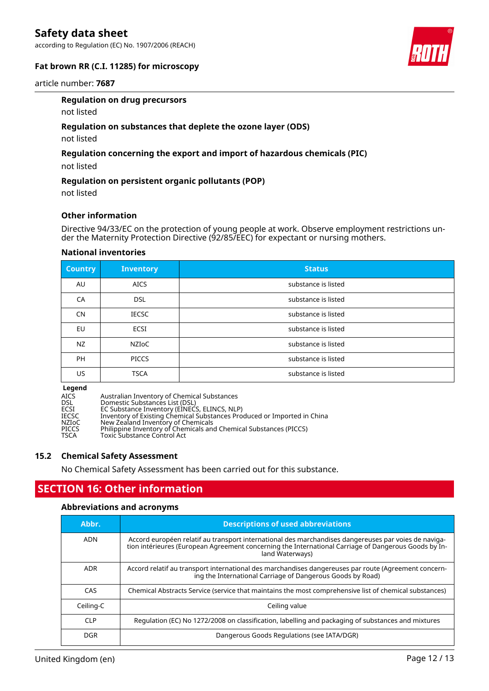according to Regulation (EC) No. 1907/2006 (REACH)



# **Fat brown RR (C.I. 11285) for microscopy**

article number: **7687**

#### **Regulation on drug precursors**

not listed

# **Regulation on substances that deplete the ozone layer (ODS)**

not listed

# **Regulation concerning the export and import of hazardous chemicals (PIC)**

not listed

#### **Regulation on persistent organic pollutants (POP)**

not listed

#### **Other information**

Directive 94/33/EC on the protection of young people at work. Observe employment restrictions under the Maternity Protection Directive (92/85/EEC) for expectant or nursing mothers.

#### **National inventories**

| <b>Country</b> | <b>Inventory</b> | <b>Status</b>       |
|----------------|------------------|---------------------|
| AU             | <b>AICS</b>      | substance is listed |
| <b>CA</b>      | <b>DSL</b>       | substance is listed |
| <b>CN</b>      | <b>IECSC</b>     | substance is listed |
| EU             | ECSI             | substance is listed |
| NZ             | <b>NZIOC</b>     | substance is listed |
| <b>PH</b>      | <b>PICCS</b>     | substance is listed |
| US             | <b>TSCA</b>      | substance is listed |

#### **Legend**

AICS Australian Inventory of Chemical Substances<br>
DSL Domestic Substances List (DSL)<br>
ECSI EC Substance Inventory (EINECS, ELINCS, NLI DSL Domestic Substances List (DSL) ECSI EC Substance Inventory (EINECS, ELINCS, NLP) IECSC Inventory of Existing Chemical Substances Produced or Imported in China NZIoC New Zealand Inventory of Chemicals PICCS Philippine Inventory of Chemicals and Chemical Substances (PICCS) TSCA Toxic Substance Control Act

#### **15.2 Chemical Safety Assessment**

No Chemical Safety Assessment has been carried out for this substance.

# **SECTION 16: Other information**

#### **Abbreviations and acronyms**

| Abbr.      | <b>Descriptions of used abbreviations</b>                                                                                                                                                                                       |
|------------|---------------------------------------------------------------------------------------------------------------------------------------------------------------------------------------------------------------------------------|
| ADN        | Accord européen relatif au transport international des marchandises dangereuses par voies de naviga-<br>tion intérieures (European Agreement concerning the International Carriage of Dangerous Goods by In-<br>land Waterways) |
| <b>ADR</b> | Accord relatif au transport international des marchandises dangereuses par route (Agreement concern-<br>ing the International Carriage of Dangerous Goods by Road)                                                              |
| CAS        | Chemical Abstracts Service (service that maintains the most comprehensive list of chemical substances)                                                                                                                          |
| Ceiling-C  | Ceiling value                                                                                                                                                                                                                   |
| <b>CLP</b> | Regulation (EC) No 1272/2008 on classification, labelling and packaging of substances and mixtures                                                                                                                              |
| <b>DGR</b> | Dangerous Goods Regulations (see IATA/DGR)                                                                                                                                                                                      |